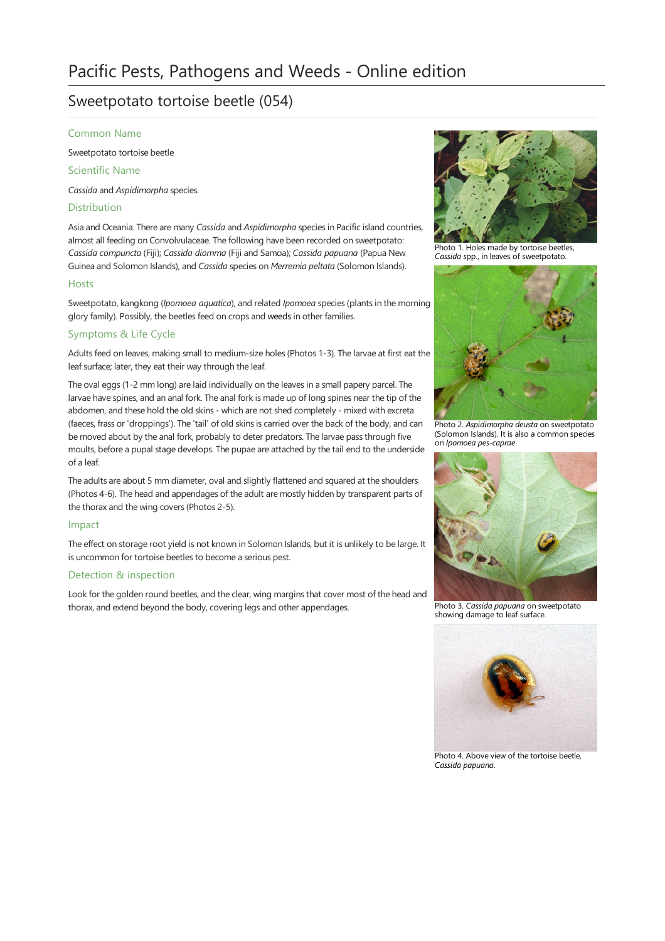# Sweetpotato tortoise beetle (054)

#### Common Name

Sweetpotato tortoise beetle

Scientific Name

*Cassida* and *Aspidimorpha* species.

# Distribution

Asia and Oceania. There are many *Cassida* and *Aspidimorpha* species in Pacific island countries, almost all feeding on Convolvulaceae. The following have been recorded on sweetpotato: *Cassida compuncta* (Fiji); *Cassida diomma* (Fijiand Samoa); *Cassida papuana* (Papua New Guinea and Solomon Islands), and *Cassida* species on *Merremia peltata* (Solomon Islands).

## **Hosts**

Sweetpotato, kangkong (*Ipomoea aquatica*), and related *Ipomoea* species (plants in the morning glory family). Possibly, the beetles feed on crops and [weeds](file:///C:/Users/mathewt/AppData/Local/Temp/weeds.pdf) in other families.

# Symptoms & Life Cycle

Adults feed on leaves, making small to medium-size holes (Photos 1-3). The larvae at first eat the leaf surface; later, they eat their way through the leaf.

The oval eggs (1-2 mm long) are laid individually on the leaves in a small papery parcel. The larvae have spines, and an anal fork. The anal fork is made up of long spines near the tip of the abdomen, and these hold the old skins - which are not shed completely - mixed with excreta (faeces, frass or 'droppings'). The 'tail' of old skins is carried over the back of the body, and can be moved about by the anal fork, probably to deter predators. The larvae pass through five moults, before a pupal stage develops. The pupae are attached by the tail end to the underside ofaleaf.

The adults are about 5 mm diameter, oval and slightly flattened and squared at the shoulders (Photos 4-6). The head and appendages of the adult are mostly hidden by transparent parts of the thorax and the wing covers (Photos 2-5).

## Impact

The effect on storage root yield is not known in Solomon Islands, but it is unlikely to be large. It is uncommon for tortoise beetles to become a serious pest.

## Detection & inspection

Look for the golden round beetles, and the clear, wing margins that cover most of the head and thorax, and extend beyond the body, covering legs and other appendages.



Photo 1. Holes made by tortoise beetles<br>Cassida spp., in leaves of sweetpotato.



Photo 2. *Aspidimorpha deusta* on sweetpotato (Solomon Islands). It is also acommon species on *Ipomoea pes-caprae*.



Photo 3. *Cassida papuana* on sweetpotato showing damage to leaf surface.



Photo 4. Above view of the tortoise beetle, *Cassida papuana*.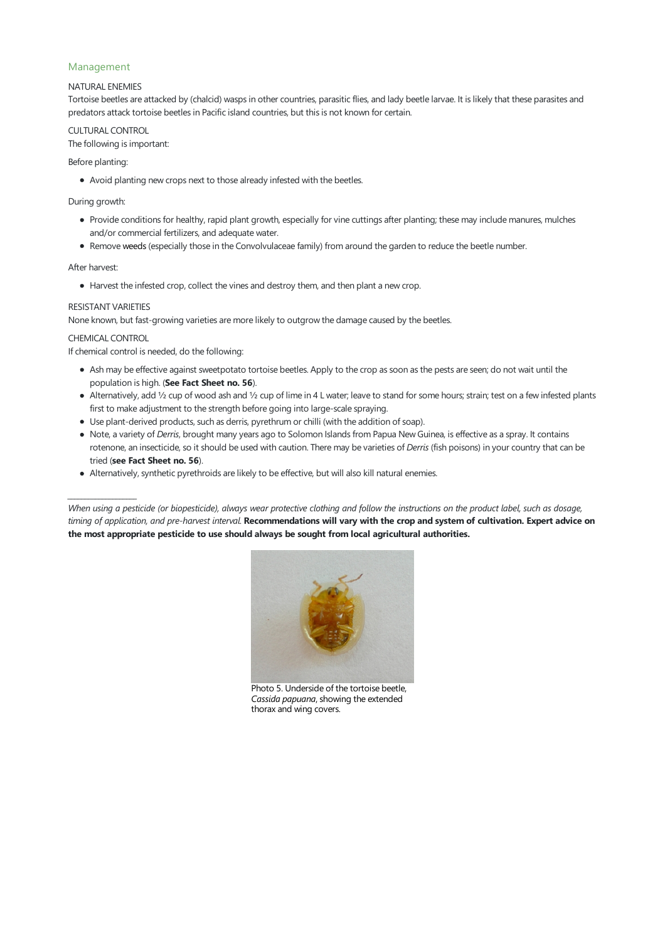## Management

#### NATURALENEMIES

Tortoise beetles are attacked by (chalcid) wasps in other countries, parasitic flies, and lady beetle larvae. It is likely that these parasites and predators attack tortoise beetles in Pacific island countries, but this is not known for certain.

CULTURAL CONTROL The following is important:

#### Before planting:

• Avoid planting new crops next to those already infested with the beetles.

#### During growth:

- Provide conditions for healthy, rapid plant growth, especially for vine cuttings after planting; these may include manures, mulches and/or commercial fertilizers, and adequate water.
- Remove [weeds](file:///C:/Users/mathewt/AppData/Local/Temp/weeds.pdf) (especially those in the Convolvulaceae family) from around the garden to reduce the beetle number.

#### After harvest:

• Harvest the infested crop, collect the vines and destroy them, and then plant a new crop.

#### RESISTANT VARIETIES

None known, but fast-growing varieties are more likely to outgrow the damage caused by the beetles.

CHEMICAL CONTROL

*\_\_\_\_\_\_\_\_\_\_\_\_\_\_\_\_\_\_\_\_*

If chemical control is needed, do the following:

- Ash may be effective against sweetpotato tortoise beetles. Apply to the crop as soon as the pests are seen; do not wait until the population is high. (**See Fact Sheet no. 56**).
- Alternatively, add 1/2 cup of wood ash and 1/2 cup of lime in 4 L water; leave to stand for some hours; strain; test on a few infested plants first to make adjustment to the strength before going into large-scale spraying.
- Use plant-derived products, such as derris, pyrethrum or chilli (with the addition of soap).
- Note, a variety of *Derris*, brought many years ago to Solomon Islands from Papua New Guinea, is effective as a spray. It contains rotenone, an insecticide, so it should be used with caution. There may be varieties of *Derris* (fish poisons) in your country that can be tried (**see Fact Sheet no. 56**).
- Alternatively, synthetic pyrethroids are likely to be effective, but will also kill natural enemies.

When using a pesticide (or biopesticide), always wear protective clothing and follow the instructions on the product label, such as dosage, timing of application, and pre-harvest interval. Recommendations will vary with the crop and system of cultivation. Expert advice on **the most appropriate pesticide to use should always be sought from local agricultural authorities.**



Photo 5. Underside of the tortoise beetle, *Cassida papuana*, showing the extended thorax and wing covers.